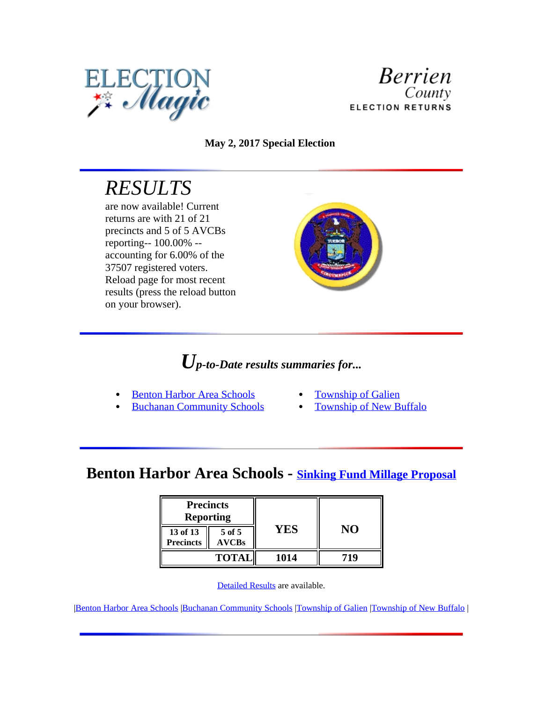



**May 2, 2017 Special Election**

# *RESULTS*

are now available! Current returns are with 21 of 21 precincts and 5 of 5 AVCBs reporting-- 100.00% - accounting for 6.00% of the 37507 registered voters. Reload page for most recent results (press the reload button on your browser).



## *Up-to-Date results summaries for...*

- Benton Harbor Area Schools
- Buchanan Community Schools
- Township of Galien
- Township of New Buffalo

### **Benton Harbor Area Schools - Sinking Fund Millage Proposal**

| <b>Precincts</b><br><b>Reporting</b> |                        |      |     |
|--------------------------------------|------------------------|------|-----|
| 13 of 13<br><b>Precincts</b>         | 5 of 5<br><b>AVCBs</b> | YES  | NО  |
|                                      | <b>TOTAL</b>           | 1014 | 719 |

[Detailed Results](file:///G:\\CLERK\\ELECTIONS\\Archive%20Election%20Magic%20Results\\B11.Archive\\B11\\2017\\mayspec\\B11results\\B1100101000.htm) are available.

|Benton Harbor Area Schools |Buchanan Community Schools |Township of Galien |Township of New Buffalo |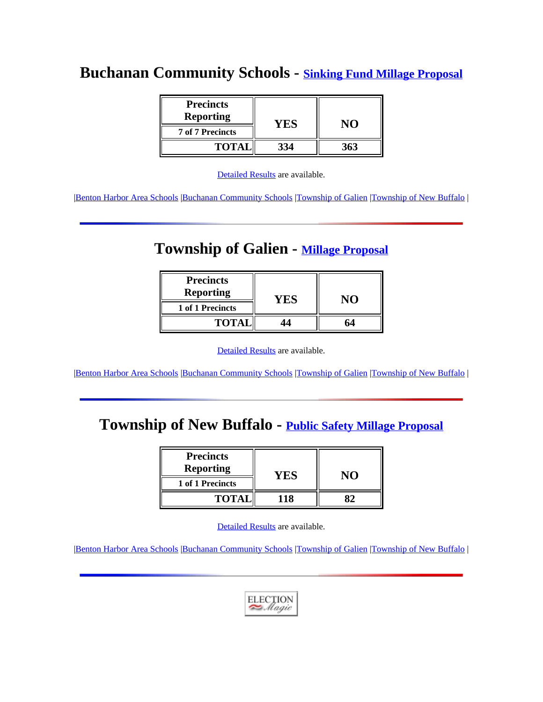### **Buchanan Community Schools - Sinking Fund Millage Proposal**

| <b>Precincts</b>        |     |     |
|-------------------------|-----|-----|
| <b>Reporting</b>        | YES |     |
| <b>7 of 7 Precincts</b> |     |     |
| <b>TOTAL</b>            | 334 | 363 |

[Detailed Results](file:///G:\\CLERK\\ELECTIONS\\Archive%20Election%20Magic%20Results\\B11.Archive\\B11\\2017\\mayspec\\B11results\\B1100101001.htm) are available.

|Benton Harbor Area Schools |Buchanan Community Schools |Township of Galien |Township of New Buffalo |

### **Township of Galien - Millage Proposal**

| <b>Precincts</b><br><b>Reporting</b> | 'NN |  |
|--------------------------------------|-----|--|
| 1 of 1 Precincts                     |     |  |
| <b>TOTAl</b>                         |     |  |

[Detailed Results](file:///G:\\CLERK\\ELECTIONS\\Archive%20Election%20Magic%20Results\\B11.Archive\\B11\\2017\\mayspec\\B11results\\B1100101002.htm) are available.

|Benton Harbor Area Schools |Buchanan Community Schools |Township of Galien |Township of New Buffalo |

### **Township of New Buffalo - Public Safety Millage Proposal**

| <b>Precincts</b> |    |  |
|------------------|----|--|
| <b>Reporting</b> |    |  |
| 1 of 1 Precincts |    |  |
| <b>TOTA</b>      | 18 |  |

[Detailed Results](file:///G:\\CLERK\\ELECTIONS\\Archive%20Election%20Magic%20Results\\B11.Archive\\B11\\2017\\mayspec\\B11results\\B1100101003.htm) are available.

|Benton Harbor Area Schools |Buchanan Community Schools |Township of Galien |Township of New Buffalo |

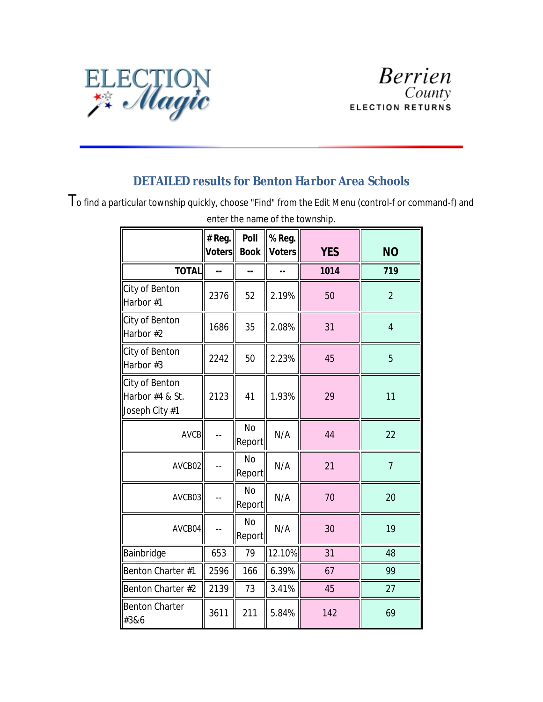

#### *DETAILED results for Benton Harbor Area Schools*

To find a particular township quickly, choose "Find" from the Edit Menu (control-f or command-f) and

|                                                     | # Reg.<br><b>Voters</b> | Poll<br><b>Book</b>      | % Reg.<br><b>Voters</b> | <b>YES</b> | <b>NO</b>      |
|-----------------------------------------------------|-------------------------|--------------------------|-------------------------|------------|----------------|
| <b>TOTAL</b>                                        | μ.                      | Ξ.                       | --                      | 1014       | 719            |
| City of Benton<br>Harbor #1                         | 2376                    | 52                       | 2.19%                   | 50         | $\overline{2}$ |
| City of Benton<br>Harbor #2                         | 1686                    | 35                       | 2.08%                   | 31         | $\overline{4}$ |
| City of Benton<br>Harbor #3                         | 2242                    | 50                       | 2.23%                   | 45         | 5              |
| City of Benton<br>Harbor #4 & St.<br>Joseph City #1 | 2123                    | 41                       | 1.93%                   | 29         | 11             |
| <b>AVCB</b>                                         | $-$                     | N <sub>o</sub><br>Report | N/A                     | 44         | 22             |
| AVCB02                                              | $-$                     | <b>No</b><br>Report      | N/A                     | 21         | $\overline{7}$ |
| AVCB03                                              | $\overline{a}$          | <b>No</b><br>Report      | N/A                     | 70         | 20             |
| AVCB04                                              | $-$                     | <b>No</b><br>Report      | N/A                     | 30         | 19             |
| Bainbridge                                          | 653                     | 79                       | 12.10%                  | 31         | 48             |
| Benton Charter #1                                   | 2596                    | 166                      | 6.39%                   | 67         | 99             |
| Benton Charter #2                                   | 2139                    | 73                       | 3.41%                   | 45         | 27             |
| <b>Benton Charter</b><br>#3&6                       | 3611                    | 211                      | 5.84%                   | 142        | 69             |

enter the name of the township.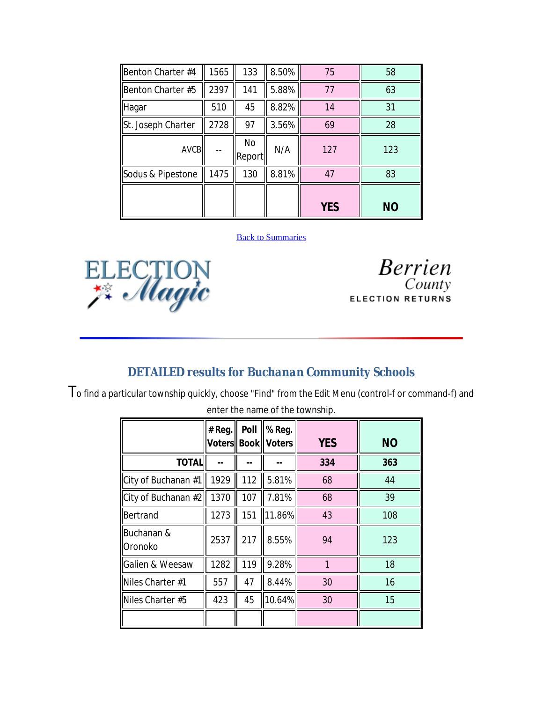| Benton Charter #4  | 1565 | 133                 | 8.50% | 75         | 58        |
|--------------------|------|---------------------|-------|------------|-----------|
| Benton Charter #5  | 2397 | 141                 | 5.88% | 77         | 63        |
| Hagar              | 510  | 45                  | 8.82% | 14         | 31        |
| St. Joseph Charter | 2728 | 97                  | 3.56% | 69         | 28        |
| <b>AVCB</b>        |      | <b>No</b><br>Report | N/A   | 127        | 123       |
| Sodus & Pipestone  | 1475 | 130                 | 8.81% | 47         | 83        |
|                    |      |                     |       | <b>YES</b> | <b>NO</b> |

#### **Back to Summaries**



**Berrien** County **ELECTION RETURNS** 

#### *DETAILED results for Buchanan Community Schools*

To find a particular township quickly, choose "Find" from the Edit Menu (control-f or command-f) and enter the name of the township.

|                              | # Reg. | Poll | % Reg.<br><b>Voters  Book    Voters</b> | <b>YES</b> | <b>NO</b> |
|------------------------------|--------|------|-----------------------------------------|------------|-----------|
| <b>TOTAL</b>                 |        |      |                                         | 334        | 363       |
| City of Buchanan #1          | 1929   | 112  | 5.81%                                   | 68         | 44        |
| City of Buchanan #2          | 1370   | 107  | 7.81%                                   | 68         | 39        |
| Bertrand                     | 1273   | 151  | 11.86%                                  | 43         | 108       |
| Buchanan &<br><b>Oronoko</b> | 2537   | 217  | 8.55%                                   | 94         | 123       |
| Galien & Weesaw              | 1282   | 119  | 9.28%                                   | 1          | 18        |
| Niles Charter #1             | 557    | 47   | 8.44%                                   | 30         | 16        |
| Niles Charter #5             | 423    | 45   | 10.64%                                  | 30         | 15        |
|                              |        |      |                                         |            |           |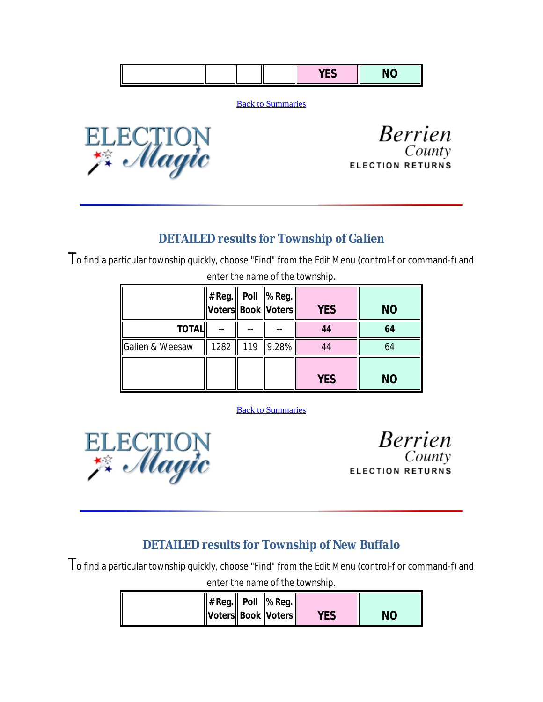|--|--|--|

**Back to Summaries** 



**Berrien** County **ELECTION RETURNS** 

#### *DETAILED results for Township of Galien*

To find a particular township quickly, choose "Find" from the Edit Menu (control-f or command-f) and

|                 |      |     | # Reg.∥ Poll ∥% Reg.∥<br>Voters Book   Voters | <b>YES</b> | <b>NO</b> |
|-----------------|------|-----|-----------------------------------------------|------------|-----------|
| <b>TOTAL</b>    |      |     |                                               | 44         | 64        |
| Galien & Weesaw | 1282 | 119 | 9.28%                                         | 44         | 64        |
|                 |      |     |                                               | <b>YES</b> | <b>NO</b> |

enter the name of the township.

Back to Summaries



**Berrien** County **ELECTION RETURNS** 

#### *DETAILED results for Township of New Buffalo*

To find a particular township quickly, choose "Find" from the Edit Menu (control-f or command-f) and

enter the name of the township.

| $  # Reg.  $ Poll $  %$ Reg. |  |     |    |
|------------------------------|--|-----|----|
| Voters  Book  Voters         |  | YES | NΟ |